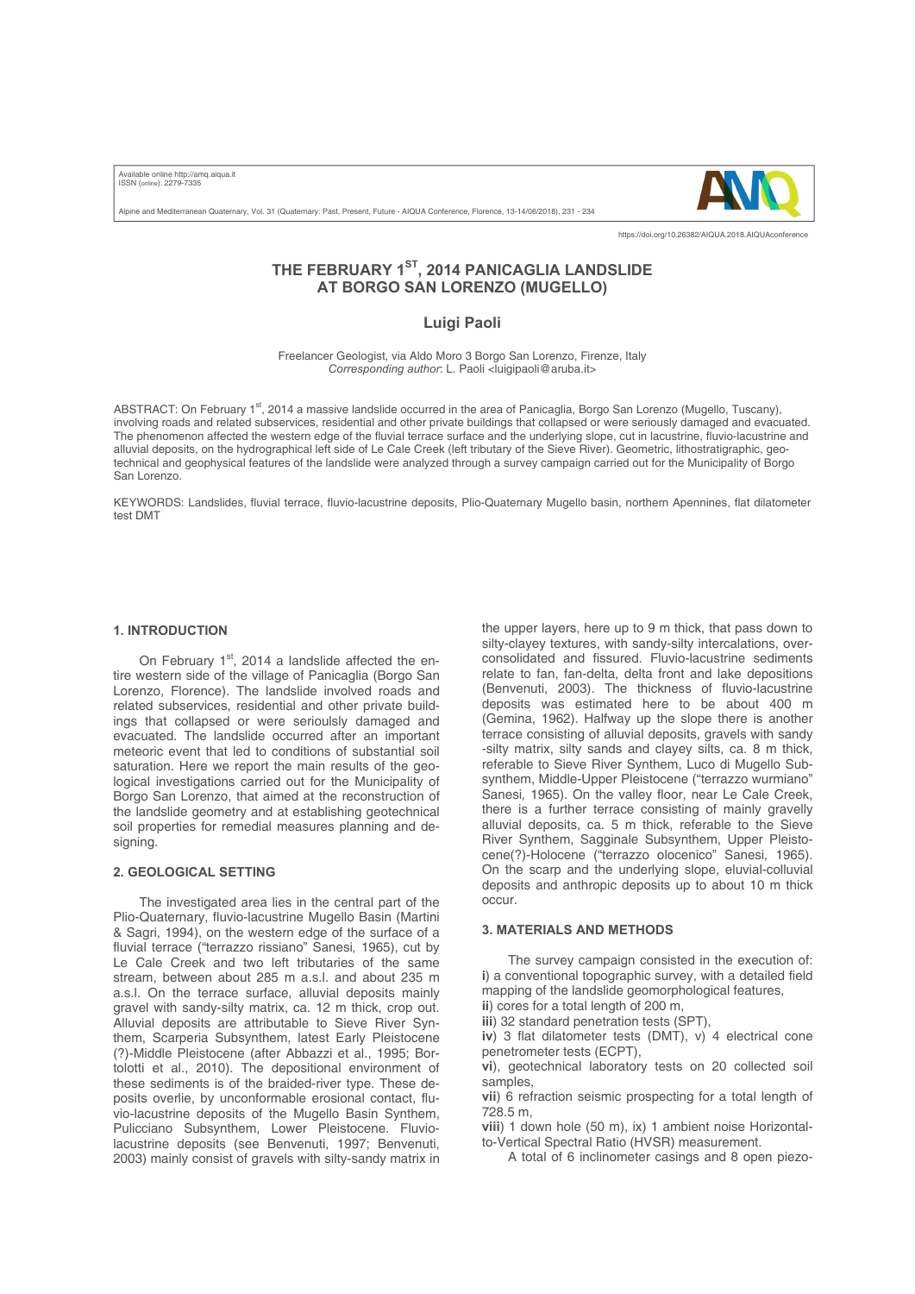Available online http://amq.aiqua.it ISSN (online): 2279-7335

Alpine and Mediterranean Quaternary, Vol. 31 (Quaternary: Past, Present, Future - AIQUA Conference, Florence, 13-14/06/2018), 231 - 234



https://doi.org/10.26382/AIQUA.2018.AIQUAconference

# **THE FEBRUARY 1ST, 2014 PANICAGLIA LANDSLIDE AT BORGO SAN LORENZO (MUGELLO)**

## **Luigi Paoli**

Freelancer Geologist, via Aldo Moro 3 Borgo San Lorenzo, Firenze, Italy *Corresponding author*: L. Paoli <luigipaoli@aruba.it>

ABSTRACT: On February 1<sup>st</sup>, 2014 a massive landslide occurred in the area of Panicaglia, Borgo San Lorenzo (Mugello, Tuscany), involving roads and related subservices, residential and other private buildings that collapsed or were seriously damaged and evacuated. The phenomenon affected the western edge of the fluvial terrace surface and the underlying slope, cut in lacustrine, fluvio-lacustrine and alluvial deposits, on the hydrographical left side of Le Cale Creek (left tributary of the Sieve River). Geometric, lithostratigraphic, geotechnical and geophysical features of the landslide were analyzed through a survey campaign carried out for the Municipality of Borgo San Lorenzo.

KEYWORDS: Landslides, fluvial terrace, fluvio-lacustrine deposits, Plio-Quaternary Mugello basin, northern Apennines, flat dilatometer test DMT

## **1. INTRODUCTION**

On February  $1<sup>st</sup>$ , 2014 a landslide affected the entire western side of the village of Panicaglia (Borgo San Lorenzo, Florence). The landslide involved roads and related subservices, residential and other private buildings that collapsed or were serioulsly damaged and evacuated. The landslide occurred after an important meteoric event that led to conditions of substantial soil saturation. Here we report the main results of the geological investigations carried out for the Municipality of Borgo San Lorenzo, that aimed at the reconstruction of the landslide geometry and at establishing geotechnical soil properties for remedial measures planning and designing.

## **2. GEOLOGICAL SETTING**

The investigated area lies in the central part of the Plio-Quaternary, fluvio-lacustrine Mugello Basin (Martini & Sagri, 1994), on the western edge of the surface of a fluvial terrace ("terrazzo rissiano" Sanesi*,* 1965), cut by Le Cale Creek and two left tributaries of the same stream, between about 285 m a.s.l. and about 235 m a.s.l. On the terrace surface, alluvial deposits mainly gravel with sandy-silty matrix, ca. 12 m thick, crop out. Alluvial deposits are attributable to Sieve River Synthem, Scarperia Subsynthem, latest Early Pleistocene (?)-Middle Pleistocene (after Abbazzi et al., 1995; Bortolotti et al., 2010). The depositional environment of these sediments is of the braided-river type. These deposits overlie, by unconformable erosional contact, fluvio-lacustrine deposits of the Mugello Basin Synthem, Pulicciano Subsynthem, Lower Pleistocene. Fluviolacustrine deposits (see Benvenuti, 1997; Benvenuti, 2003) mainly consist of gravels with silty-sandy matrix in the upper layers, here up to 9 m thick, that pass down to silty-clayey textures, with sandy-silty intercalations, overconsolidated and fissured. Fluvio-lacustrine sediments relate to fan, fan-delta, delta front and lake depositions (Benvenuti, 2003). The thickness of fluvio-lacustrine deposits was estimated here to be about 400 m (Gemina, 1962). Halfway up the slope there is another terrace consisting of alluvial deposits, gravels with sandy -silty matrix, silty sands and clayey silts, ca. 8 m thick, referable to Sieve River Synthem, Luco di Mugello Subsynthem, Middle-Upper Pleistocene ("terrazzo wurmiano" Sanesi*,* 1965). On the valley floor, near Le Cale Creek, there is a further terrace consisting of mainly gravelly alluvial deposits, ca. 5 m thick, referable to the Sieve River Synthem, Sagginale Subsynthem, Upper Pleistocene(?)-Holocene ("terrazzo olocenico" Sanesi*,* 1965). On the scarp and the underlying slope, eluvial-colluvial deposits and anthropic deposits up to about 10 m thick occur.

#### **3. MATERIALS AND METHODS**

The survey campaign consisted in the execution of: **i**) a conventional topographic survey, with a detailed field mapping of the landslide geomorphological features, **ii**) cores for a total length of 200 m,

**iii**) 32 standard penetration tests (SPT),

**iv**) 3 flat dilatometer tests (DMT), v) 4 electrical cone penetrometer tests (ECPT),

**vi**), geotechnical laboratory tests on 20 collected soil samples,

**vii**) 6 refraction seismic prospecting for a total length of 728.5 m,

**viii**) 1 down hole (50 m), ix) 1 ambient noise Horizontalto-Vertical Spectral Ratio (HVSR) measurement.

A total of 6 inclinometer casings and 8 open piezo-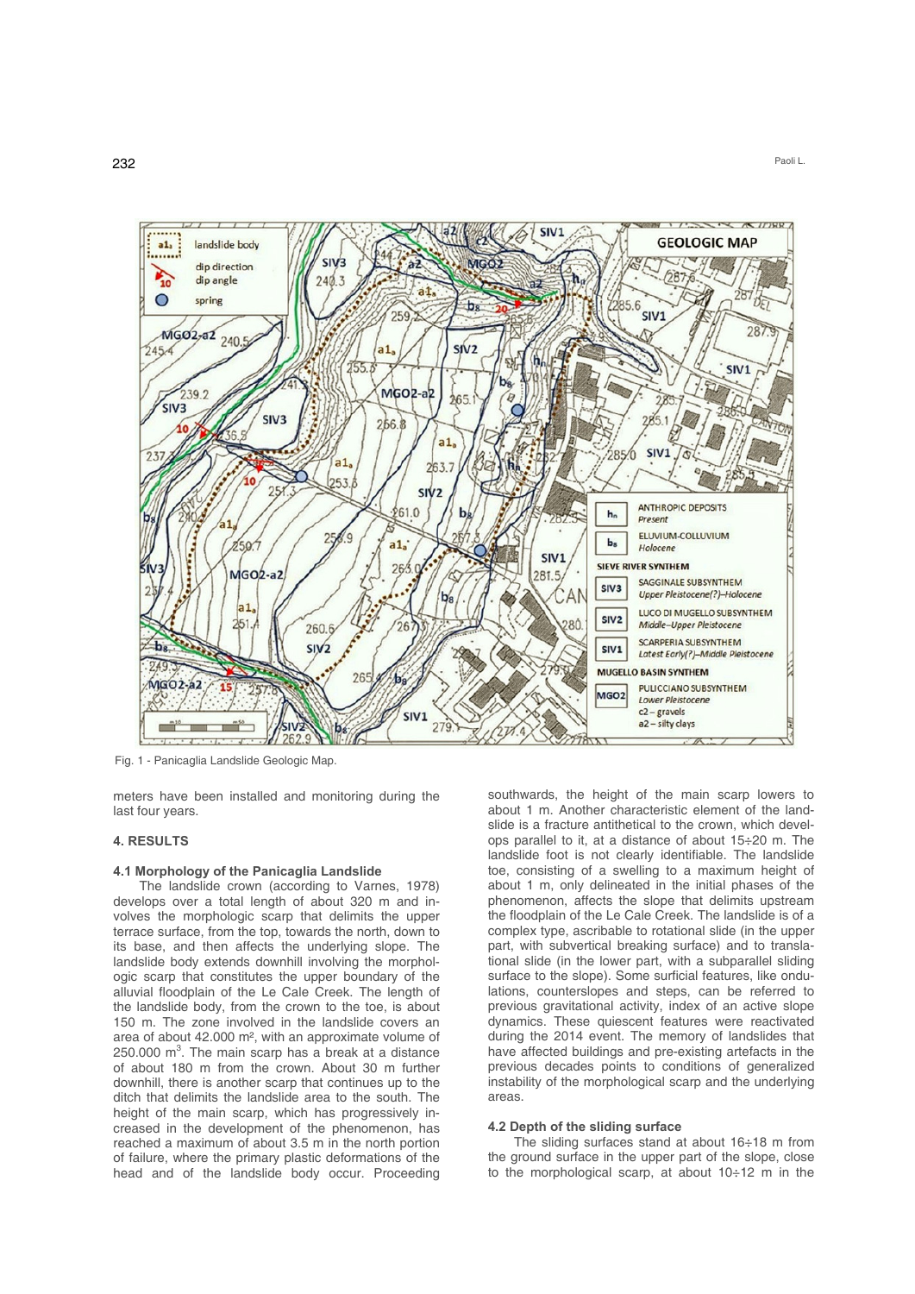

Fig. 1 - Panicaglia Landslide Geologic Map.

meters have been installed and monitoring during the last four years.

### **4. RESULTS**

#### **4.1 Morphology of the Panicaglia Landslide**

The landslide crown (according to Varnes, 1978) develops over a total length of about 320 m and involves the morphologic scarp that delimits the upper terrace surface, from the top, towards the north, down to its base, and then affects the underlying slope. The landslide body extends downhill involving the morphologic scarp that constitutes the upper boundary of the alluvial floodplain of the Le Cale Creek. The length of the landslide body, from the crown to the toe, is about 150 m. The zone involved in the landslide covers an area of about 42.000 m², with an approximate volume of 250.000  $m^3$ . The main scarp has a break at a distance of about 180 m from the crown. About 30 m further downhill, there is another scarp that continues up to the ditch that delimits the landslide area to the south. The height of the main scarp, which has progressively increased in the development of the phenomenon, has reached a maximum of about 3.5 m in the north portion of failure, where the primary plastic deformations of the head and of the landslide body occur. Proceeding

southwards, the height of the main scarp lowers to about 1 m. Another characteristic element of the landslide is a fracture antithetical to the crown, which develops parallel to it, at a distance of about 15÷20 m. The landslide foot is not clearly identifiable. The landslide toe, consisting of a swelling to a maximum height of about 1 m, only delineated in the initial phases of the phenomenon, affects the slope that delimits upstream the floodplain of the Le Cale Creek. The landslide is of a complex type, ascribable to rotational slide (in the upper part, with subvertical breaking surface) and to translational slide (in the lower part, with a subparallel sliding surface to the slope). Some surficial features, like ondulations, counterslopes and steps, can be referred to previous gravitational activity, index of an active slope dynamics. These quiescent features were reactivated during the 2014 event. The memory of landslides that have affected buildings and pre-existing artefacts in the previous decades points to conditions of generalized instability of the morphological scarp and the underlying areas.

#### **4.2 Depth of the sliding surface**

The sliding surfaces stand at about 16÷18 m from the ground surface in the upper part of the slope, close to the morphological scarp, at about 10÷12 m in the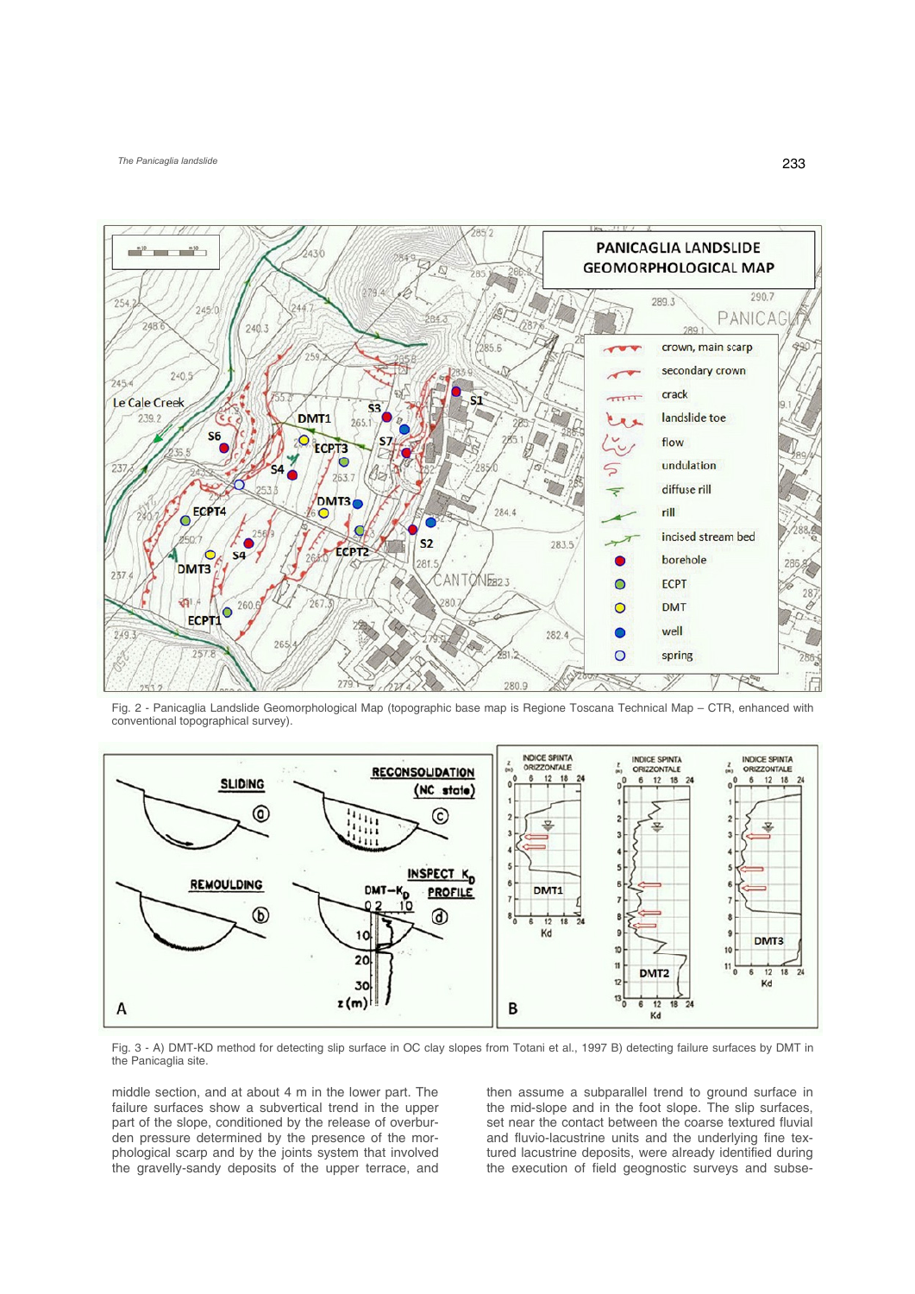*The Panicaglia landslide* 



Fig. 2 - Panicaglia Landslide Geomorphological Map (topographic base map is Regione Toscana Technical Map – CTR, enhanced with conventional topographical survey).



Fig. 3 - A) DMT-KD method for detecting slip surface in OC clay slopes from Totani et al., 1997 B) detecting failure surfaces by DMT in the Panicaglia site.

middle section, and at about 4 m in the lower part. The failure surfaces show a subvertical trend in the upper part of the slope, conditioned by the release of overburden pressure determined by the presence of the morphological scarp and by the joints system that involved the gravelly-sandy deposits of the upper terrace, and

then assume a subparallel trend to ground surface in the mid-slope and in the foot slope. The slip surfaces, set near the contact between the coarse textured fluvial and fluvio-lacustrine units and the underlying fine textured lacustrine deposits, were already identified during the execution of field geognostic surveys and subse